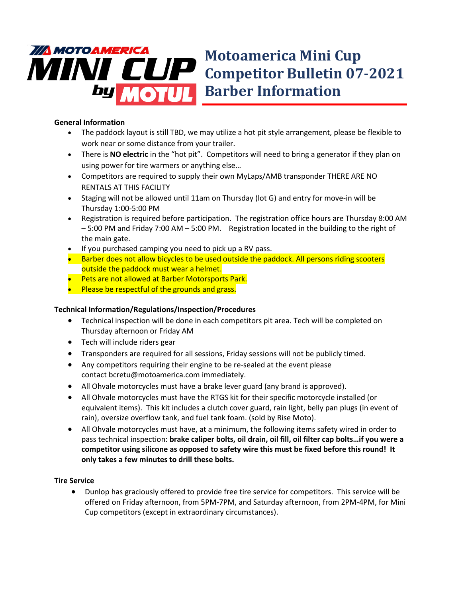

# **Motoamerica Mini Cup Competitor Bulletin 07-2021**

## **General Information**

- The paddock layout is still TBD, we may utilize a hot pit style arrangement, please be flexible to work near or some distance from your trailer.
- There is **NO electric** in the "hot pit". Competitors will need to bring a generator if they plan on using power for tire warmers or anything else…
- Competitors are required to supply their own MyLaps/AMB transponder THERE ARE NO RENTALS AT THIS FACILITY
- Staging will not be allowed until 11am on Thursday (lot G) and entry for move-in will be Thursday 1:00-5:00 PM
- Registration is required before participation. The registration office hours are Thursday 8:00 AM – 5:00 PM and Friday 7:00 AM – 5:00 PM. Registration located in the building to the right of the main gate.
- If you purchased camping you need to pick up a RV pass.
- Barber does not allow bicycles to be used outside the paddock. All persons riding scooters outside the paddock must wear a helmet.
- **Pets are not allowed at Barber Motorsports Park.**
- Please be respectful of the grounds and grass.

## **Technical Information/Regulations/Inspection/Procedures**

- Technical inspection will be done in each competitors pit area. Tech will be completed on Thursday afternoon or Friday AM
- Tech will include riders gear
- Transponders are required for all sessions, Friday sessions will not be publicly timed.
- Any competitors requiring their engine to be re-sealed at the event please contact bcretu@motoamerica.com immediately.
- All Ohvale motorcycles must have a brake lever guard (any brand is approved).
- All Ohvale motorcycles must have the RTGS kit for their specific motorcycle installed (or equivalent items). This kit includes a clutch cover guard, rain light, belly pan plugs (in event of rain), oversize overflow tank, and fuel tank foam. (sold by Rise Moto).
- All Ohvale motorcycles must have, at a minimum, the following items safety wired in order to pass technical inspection: **brake caliper bolts, oil drain, oil fill, oil filter cap bolts…if you were a competitor using silicone as opposed to safety wire this must be fixed before this round! It only takes a few minutes to drill these bolts.**

## **Tire Service**

• Dunlop has graciously offered to provide free tire service for competitors. This service will be offered on Friday afternoon, from 5PM-7PM, and Saturday afternoon, from 2PM-4PM, for Mini Cup competitors (except in extraordinary circumstances).